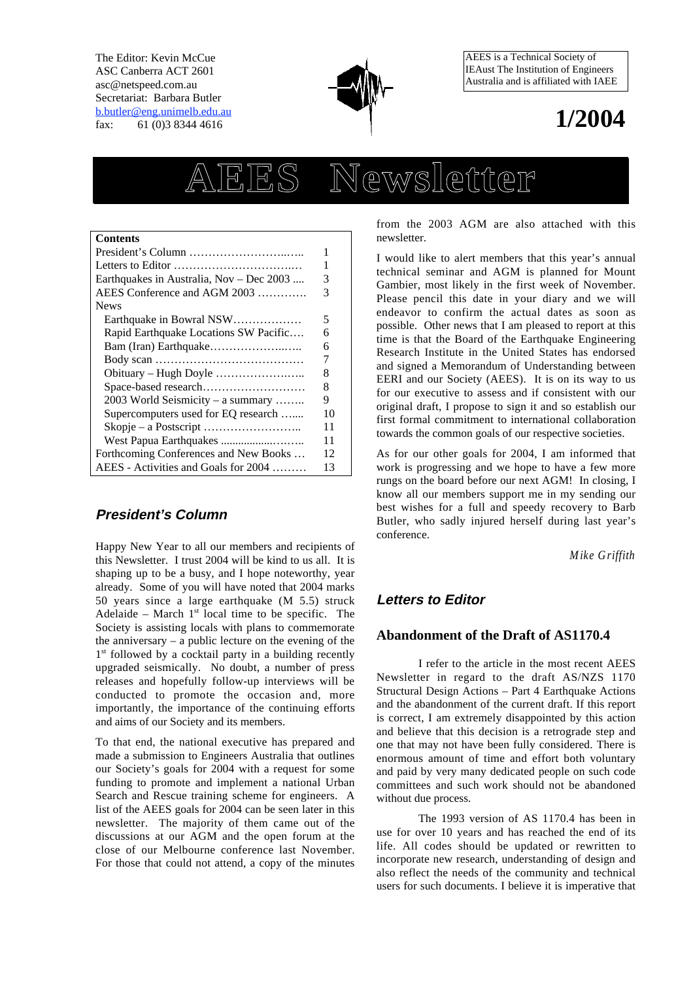The Editor: Kevin McCue ASC Canberra ACT 2601 asc@netspeed.com.au Secretariat: Barbara Butler b.butler@eng.unimelb.edu.au fax: 61 (0)3 8344 4616



AEES is a Technical Society of IEAust The Institution of Engineers Australia and is affiliated with IAEE

# **1/2004**

# **AEES Newsletter**

| Contents                                                         |    |  |  |  |
|------------------------------------------------------------------|----|--|--|--|
|                                                                  | 1  |  |  |  |
|                                                                  | 1  |  |  |  |
| Earthquakes in Australia, Nov - Dec 2003                         | 3  |  |  |  |
| AEES Conference and AGM 2003                                     | 3  |  |  |  |
| <b>News</b>                                                      |    |  |  |  |
| Earthquake in Bowral NSW                                         | 5  |  |  |  |
| Rapid Earthquake Locations SW Pacific                            | 6  |  |  |  |
|                                                                  | 6  |  |  |  |
|                                                                  | 7  |  |  |  |
| Obituary – Hugh Doyle $\dots\dots\dots\dots\dots\dots\dots\dots$ | 8  |  |  |  |
|                                                                  | 8  |  |  |  |
| 2003 World Seismicity – a summary                                | 9  |  |  |  |
| Supercomputers used for EQ research                              | 10 |  |  |  |
|                                                                  | 11 |  |  |  |
|                                                                  | 11 |  |  |  |
| Forthcoming Conferences and New Books                            | 12 |  |  |  |
| AEES - Activities and Goals for 2004<br>13                       |    |  |  |  |

# **President's Column**

Happy New Year to all our members and recipients of this Newsletter. I trust 2004 will be kind to us all. It is shaping up to be a busy, and I hope noteworthy, year already. Some of you will have noted that 2004 marks 50 years since a large earthquake (M 5.5) struck Adelaide – March  $1<sup>st</sup>$  local time to be specific. The Society is assisting locals with plans to commemorate the anniversary – a public lecture on the evening of the 1<sup>st</sup> followed by a cocktail party in a building recently upgraded seismically. No doubt, a number of press releases and hopefully follow-up interviews will be conducted to promote the occasion and, more importantly, the importance of the continuing efforts and aims of our Society and its members.

To that end, the national executive has prepared and made a submission to Engineers Australia that outlines our Society's goals for 2004 with a request for some funding to promote and implement a national Urban Search and Rescue training scheme for engineers. A list of the AEES goals for 2004 can be seen later in this newsletter. The majority of them came out of the discussions at our AGM and the open forum at the close of our Melbourne conference last November. For those that could not attend, a copy of the minutes from the 2003 AGM are also attached with this newsletter.

I would like to alert members that this year's annual technical seminar and AGM is planned for Mount Gambier, most likely in the first week of November. Please pencil this date in your diary and we will endeavor to confirm the actual dates as soon as possible. Other news that I am pleased to report at this time is that the Board of the Earthquake Engineering Research Institute in the United States has endorsed and signed a Memorandum of Understanding between EERI and our Society (AEES). It is on its way to us for our executive to assess and if consistent with our original draft, I propose to sign it and so establish our first formal commitment to international collaboration towards the common goals of our respective societies.

As for our other goals for 2004, I am informed that work is progressing and we hope to have a few more rungs on the board before our next AGM! In closing, I know all our members support me in my sending our best wishes for a full and speedy recovery to Barb Butler, who sadly injured herself during last year's conference.

*Mike Griffith*

# **Letters to Editor**

# **Abandonment of the Draft of AS1170.4**

I refer to the article in the most recent AEES Newsletter in regard to the draft AS/NZS 1170 Structural Design Actions – Part 4 Earthquake Actions and the abandonment of the current draft. If this report is correct, I am extremely disappointed by this action and believe that this decision is a retrograde step and one that may not have been fully considered. There is enormous amount of time and effort both voluntary and paid by very many dedicated people on such code committees and such work should not be abandoned without due process.

The 1993 version of AS 1170.4 has been in use for over 10 years and has reached the end of its life. All codes should be updated or rewritten to incorporate new research, understanding of design and also reflect the needs of the community and technical users for such documents. I believe it is imperative that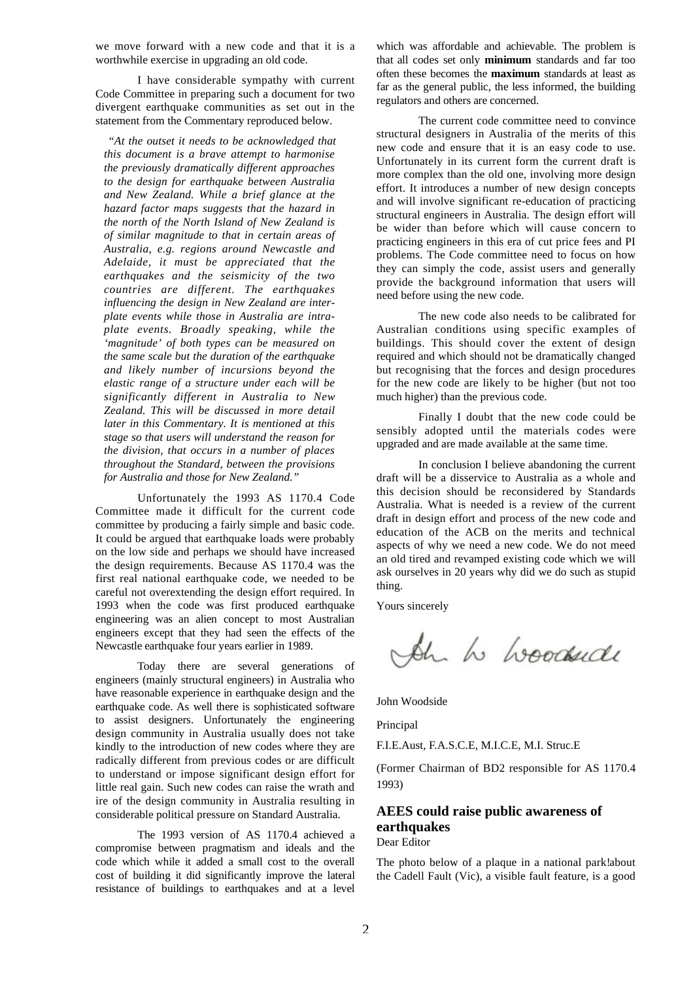we move forward with a new code and that it is a worthwhile exercise in upgrading an old code.

I have considerable sympathy with current Code Committee in preparing such a document for two divergent earthquake communities as set out in the statement from the Commentary reproduced below.

*"At the outset it needs to be acknowledged that this document is a brave attempt to harmonise the previously dramatically different approaches to the design for earthquake between Australia and New Zealand. While a brief glance at the hazard factor maps suggests that the hazard in the north of the North Island of New Zealand is of similar magnitude to that in certain areas of Australia, e.g. regions around Newcastle and Adelaide, it must be appreciated that the earthquakes and the seismicity of the two countries are different. The earthquakes influencing the design in New Zealand are interplate events while those in Australia are intraplate events. Broadly speaking, while the 'magnitude' of both types can be measured on the same scale but the duration of the earthquake and likely number of incursions beyond the elastic range of a structure under each will be significantly different in Australia to New Zealand. This will be discussed in more detail later in this Commentary. It is mentioned at this stage so that users will understand the reason for the division, that occurs in a number of places throughout the Standard, between the provisions for Australia and those for New Zealand."*

Unfortunately the 1993 AS 1170.4 Code Committee made it difficult for the current code committee by producing a fairly simple and basic code. It could be argued that earthquake loads were probably on the low side and perhaps we should have increased the design requirements. Because AS 1170.4 was the first real national earthquake code, we needed to be careful not overextending the design effort required. In 1993 when the code was first produced earthquake engineering was an alien concept to most Australian engineers except that they had seen the effects of the Newcastle earthquake four years earlier in 1989.

Today there are several generations of engineers (mainly structural engineers) in Australia who have reasonable experience in earthquake design and the earthquake code. As well there is sophisticated software to assist designers. Unfortunately the engineering design community in Australia usually does not take kindly to the introduction of new codes where they are radically different from previous codes or are difficult to understand or impose significant design effort for little real gain. Such new codes can raise the wrath and ire of the design community in Australia resulting in considerable political pressure on Standard Australia.

The 1993 version of AS 1170.4 achieved a compromise between pragmatism and ideals and the code which while it added a small cost to the overall cost of building it did significantly improve the lateral resistance of buildings to earthquakes and at a level which was affordable and achievable. The problem is that all codes set only **minimum** standards and far too often these becomes the **maximum** standards at least as far as the general public, the less informed, the building regulators and others are concerned.

The current code committee need to convince structural designers in Australia of the merits of this new code and ensure that it is an easy code to use. Unfortunately in its current form the current draft is more complex than the old one, involving more design effort. It introduces a number of new design concepts and will involve significant re-education of practicing structural engineers in Australia. The design effort will be wider than before which will cause concern to practicing engineers in this era of cut price fees and PI problems. The Code committee need to focus on how they can simply the code, assist users and generally provide the background information that users will need before using the new code.

The new code also needs to be calibrated for Australian conditions using specific examples of buildings. This should cover the extent of design required and which should not be dramatically changed but recognising that the forces and design procedures for the new code are likely to be higher (but not too much higher) than the previous code.

Finally I doubt that the new code could be sensibly adopted until the materials codes were upgraded and are made available at the same time.

In conclusion I believe abandoning the current draft will be a disservice to Australia as a whole and this decision should be reconsidered by Standards Australia. What is needed is a review of the current draft in design effort and process of the new code and education of the ACB on the merits and technical aspects of why we need a new code. We do not meed an old tired and revamped existing code which we will ask ourselves in 20 years why did we do such as stupid thing.

Yours sincerely

Ah h hoodside

John Woodside

Principal

F.I.E.Aust, F.A.S.C.E, M.I.C.E, M.I. Struc.E

(Former Chairman of BD2 responsible for AS 1170.4 1993)

# **AEES could raise public awareness of earthquakes**

Dear Editor

The photo below of a plaque in a national park about the Cadell Fault (Vic), a visible fault feature, is a good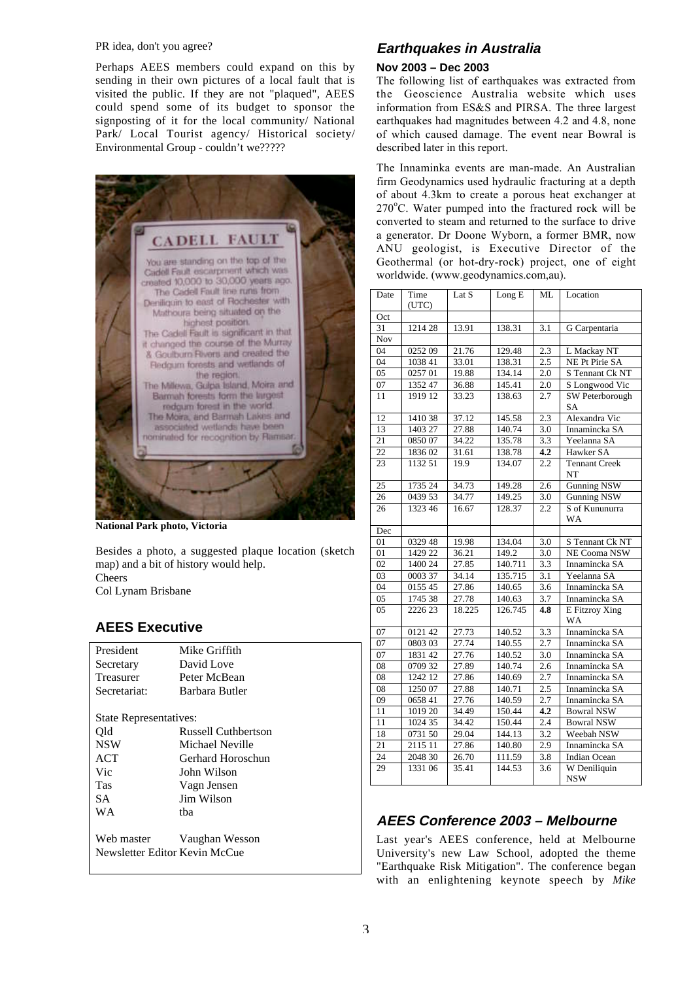## PR idea, don't you agree?

Perhaps AEES members could expand on this by sending in their own pictures of a local fault that is visited the public. If they are not "plaqued", AEES could spend some of its budget to sponsor the signposting of it for the local community/ National Park/ Local Tourist agency/ Historical society/ Environmental Group - couldn't we?????



**National Park photo, Victoria**

Besides a photo, a suggested plaque location (sketch map) and a bit of history would help. Cheers Col Lynam Brisbane

# **AEES Executive**

| Mike Griffith                 |  |  |  |  |  |  |
|-------------------------------|--|--|--|--|--|--|
| David Love                    |  |  |  |  |  |  |
| Peter McBean                  |  |  |  |  |  |  |
| Barbara Butler                |  |  |  |  |  |  |
|                               |  |  |  |  |  |  |
| State Representatives:        |  |  |  |  |  |  |
| <b>Russell Cuthbertson</b>    |  |  |  |  |  |  |
| Michael Neville               |  |  |  |  |  |  |
| Gerhard Horoschun             |  |  |  |  |  |  |
| John Wilson                   |  |  |  |  |  |  |
| Vagn Jensen                   |  |  |  |  |  |  |
| <b>Jim Wilson</b>             |  |  |  |  |  |  |
| tha                           |  |  |  |  |  |  |
|                               |  |  |  |  |  |  |
| Vaughan Wesson                |  |  |  |  |  |  |
| Newsletter Editor Kevin McCue |  |  |  |  |  |  |
|                               |  |  |  |  |  |  |

## **Earthquakes in Australia**

## **Nov 2003 – Dec 2003**

The following list of earthquakes was extracted from the Geoscience Australia website which uses information from ES&S and PIRSA. The three largest earthquakes had magnitudes between 4.2 and 4.8, none of which caused damage. The event near Bowral is described later in this report.

The Innaminka events are man-made. An Australian firm Geodynamics used hydraulic fracturing at a depth of about 4.3km to create a porous heat exchanger at 270°C. Water pumped into the fractured rock will be converted to steam and returned to the surface to drive a generator. Dr Doone Wyborn, a former BMR, now ANU geologist, is Executive Director of the Geothermal (or hot-dry-rock) project, one of eight worldwide. (www.geodynamics.com,au).

| Date       | Time                | Lat S  | Long E  | ML               | Location                    |
|------------|---------------------|--------|---------|------------------|-----------------------------|
|            | (UTC)               |        |         |                  |                             |
| Oct        |                     |        |         |                  |                             |
| 31         | 1214 28             | 13.91  | 138.31  | 3.1              | G Carpentaria               |
| <b>Nov</b> |                     |        |         |                  |                             |
| 04         | 025209              | 21.76  | 129.48  | 2.3              | L Mackay NT                 |
| 04         | 1038 41             | 33.01  | 138.31  | 2.5              | NE Pt Pirie SA              |
| 05         | 0257 01             | 19.88  | 134.14  | 2.0              | S Tennant Ck NT             |
| 07         | 1352 47             | 36.88  | 145.41  | 2.0              | S Longwood Vic              |
| 11         | 1919 12             | 33.23  | 138.63  | 2.7              | SW Peterborough<br>SA       |
| 12         | 1410 38             | 37.12  | 145.58  | 2.3              | Alexandra Vic               |
| 13         | 1403 27             | 27.88  | 140.74  | 3.0              | Innamincka SA               |
| 21         | 0850 07             | 34.22  | 135.78  | 3.3              | Yeelanna SA                 |
| 22         | 183602              | 31.61  | 138.78  | 4.2              | Hawker SA                   |
| 23         | 1132 51             | 19.9   | 134.07  | 2.2              | <b>Tennant Creek</b><br>NT  |
| 25         | 1735 24             | 34.73  | 149.28  | 2.6              | <b>Gunning NSW</b>          |
| 26         | 0439 53             | 34.77  | 149.25  | 3.0              | <b>Gunning NSW</b>          |
| 26         | 1323 46             | 16.67  | 128.37  | 2.2              | S of Kununurra<br>WA        |
| Dec        |                     |        |         |                  |                             |
| 01         | 0329 48             | 19.98  | 134.04  | 3.0              | S Tennant Ck NT             |
| 01         | 1429 22             | 36.21  | 149.2   | 3.0              | NE Cooma NSW                |
| 02         | 1400 24             | 27.85  | 140.711 | 3.3              | Innamincka SA               |
| 03         | 0003 37             | 34.14  | 135.715 | 3.1              | Yeelanna SA                 |
| 04         | 0155 45             | 27.86  | 140.65  | 3.6              | Innamincka SA               |
| 05         | 1745 38             | 27.78  | 140.63  | 3.7              | Innamincka SA               |
| 05         | 2226 23             | 18.225 | 126.745 | 4.8              | E Fitzroy Xing<br><b>WA</b> |
| 07         | 0121 42             | 27.73  | 140.52  | 3.3              | Innamincka SA               |
| 07         | 0803 03             | 27.74  | 140.55  | 2.7              | Innamincka SA               |
| 07         | 1831 42             | 27.76  | 140.52  | $\overline{3.0}$ | Innamincka SA               |
| 08         | 0709 32             | 27.89  | 140.74  | 2.6              | Innamincka SA               |
| 08         | 1242 12             | 27.86  | 140.69  | 2.7              | Innamincka SA               |
| 08         | 1250 07             | 27.88  | 140.71  | $\overline{2.5}$ | Innamincka SA               |
| 09         | 0658 41             | 27.76  | 140.59  | 2.7              | Innamincka SA               |
| 11         | 1019 20             | 34.49  | 150.44  | 4.2              | <b>Bowral NSW</b>           |
| 11         | 1024 35             | 34.42  | 150.44  | 2.4              | <b>Bowral NSW</b>           |
| 18         | 0731 50             | 29.04  | 144.13  | 3.2              | Weebah NSW                  |
| 21         | $\overline{21}1511$ | 27.86  | 140.80  | 2.9              | Innamincka SA               |
| 24         | 2048 30             | 26.70  | 111.59  | 3.8              | Indian Ocean                |
| 29         | 1331 06             | 35.41  | 144.53  | 3.6              | W Deniliquin                |
|            |                     |        |         |                  | <b>NSW</b>                  |

## **AEES Conference 2003 – Melbourne**

Last year's AEES conference, held at Melbourne University's new Law School, adopted the theme "Earthquake Risk Mitigation". The conference began with an enlightening keynote speech by *Mike*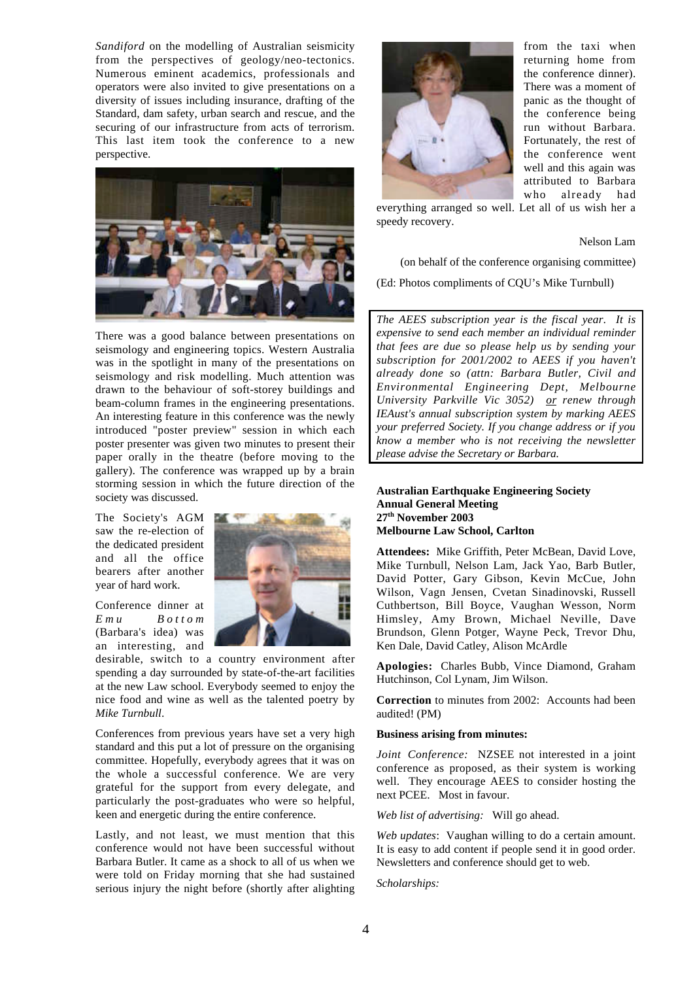*Sandiford* on the modelling of Australian seismicity from the perspectives of geology/neo-tectonics. Numerous eminent academics, professionals and operators were also invited to give presentations on a diversity of issues including insurance, drafting of the Standard, dam safety, urban search and rescue, and the securing of our infrastructure from acts of terrorism. This last item took the conference to a new perspective.

![](_page_3_Picture_1.jpeg)

There was a good balance between presentations on seismology and engineering topics. Western Australia was in the spotlight in many of the presentations on seismology and risk modelling. Much attention was drawn to the behaviour of soft-storey buildings and beam-column frames in the engineering presentations. An interesting feature in this conference was the newly introduced "poster preview" session in which each poster presenter was given two minutes to present their paper orally in the theatre (before moving to the gallery). The conference was wrapped up by a brain storming session in which the future direction of the society was discussed.

The Society's AGM saw the re-election of the dedicated president and all the office bearers after another year of hard work.

Conference dinner at *Emu Bottom* (Barbara's idea) was an interesting, and

![](_page_3_Picture_5.jpeg)

desirable, switch to a country environment after spending a day surrounded by state-of-the-art facilities at the new Law school. Everybody seemed to enjoy the nice food and wine as well as the talented poetry by *Mike Turnbull*.

Conferences from previous years have set a very high standard and this put a lot of pressure on the organising committee. Hopefully, everybody agrees that it was on the whole a successful conference. We are very grateful for the support from every delegate, and particularly the post-graduates who were so helpful, keen and energetic during the entire conference.

Lastly, and not least, we must mention that this conference would not have been successful without Barbara Butler. It came as a shock to all of us when we were told on Friday morning that she had sustained serious injury the night before (shortly after alighting

![](_page_3_Picture_9.jpeg)

from the taxi when returning home from the conference dinner). There was a moment of panic as the thought of the conference being run without Barbara. Fortunately, the rest of the conference went well and this again was attributed to Barbara who already had

everything arranged so well. Let all of us wish her a speedy recovery.

Nelson Lam

(on behalf of the conference organising committee)

(Ed: Photos compliments of CQU's Mike Turnbull)

*The AEES subscription year is the fiscal year. It is expensive to send each member an individual reminder that fees are due so please help us by sending your subscription for 2001/2002 to AEES if you haven't already done so (attn: Barbara Butler, Civil and Environmental Engineering Dept, Melbourne University Parkville Vic 3052) or renew through IEAust's annual subscription system by marking AEES your preferred Society. If you change address or if you know a member who is not receiving the newsletter please advise the Secretary or Barbara.*

**Australian Earthquake Engineering Society Annual General Meeting 27th November 2003 Melbourne Law School, Carlton**

**Attendees:** Mike Griffith, Peter McBean, David Love, Mike Turnbull, Nelson Lam, Jack Yao, Barb Butler, David Potter, Gary Gibson, Kevin McCue, John Wilson, Vagn Jensen, Cvetan Sinadinovski, Russell Cuthbertson, Bill Boyce, Vaughan Wesson, Norm Himsley, Amy Brown, Michael Neville, Dave Brundson, Glenn Potger, Wayne Peck, Trevor Dhu, Ken Dale, David Catley, Alison McArdle

**Apologies:** Charles Bubb, Vince Diamond, Graham Hutchinson, Col Lynam, Jim Wilson.

**Correction** to minutes from 2002: Accounts had been audited! (PM)

#### **Business arising from minutes:**

*Joint Conference:* NZSEE not interested in a joint conference as proposed, as their system is working well. They encourage AEES to consider hosting the next PCEE. Most in favour.

*Web list of advertising:* Will go ahead.

*Web updates*: Vaughan willing to do a certain amount. It is easy to add content if people send it in good order. Newsletters and conference should get to web.

*Scholarships:*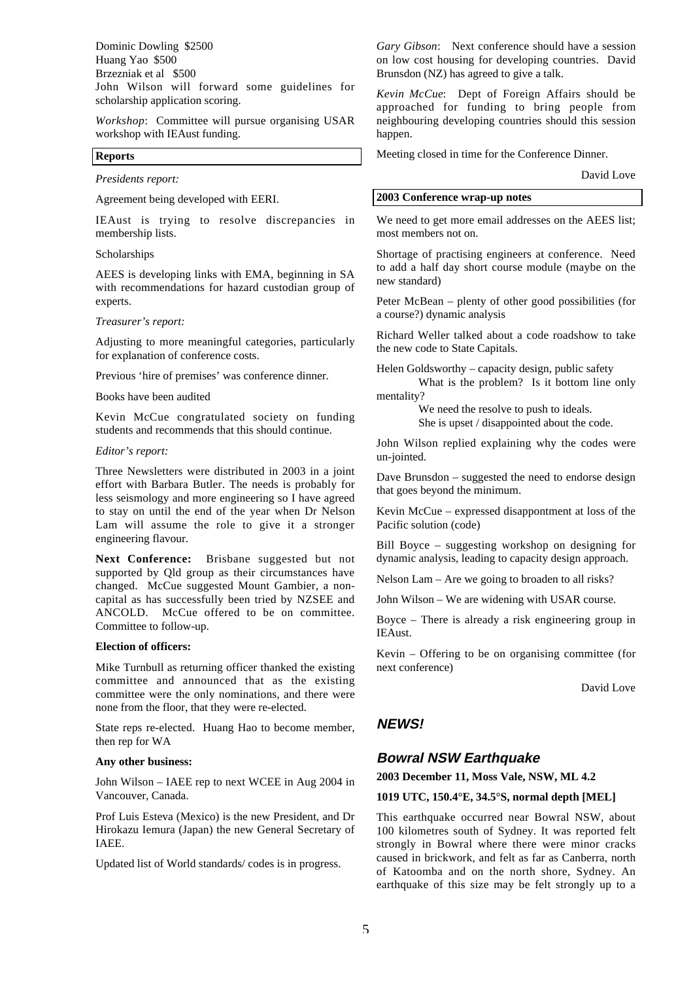Dominic Dowling \$2500 Huang Yao \$500 Brzezniak et al \$500 John Wilson will forward some guidelines for scholarship application scoring.

*Workshop*: Committee will pursue organising USAR workshop with IEAust funding.

## **Reports**

*Presidents report:*

Agreement being developed with EERI.

IEAust is trying to resolve discrepancies in membership lists.

### Scholarships

AEES is developing links with EMA, beginning in SA with recommendations for hazard custodian group of experts.

## *Treasurer's report:*

Adjusting to more meaningful categories, particularly for explanation of conference costs.

Previous 'hire of premises' was conference dinner.

Books have been audited

Kevin McCue congratulated society on funding students and recommends that this should continue.

#### *Editor's report:*

Three Newsletters were distributed in 2003 in a joint effort with Barbara Butler. The needs is probably for less seismology and more engineering so I have agreed to stay on until the end of the year when Dr Nelson Lam will assume the role to give it a stronger engineering flavour.

**Next Conference:** Brisbane suggested but not supported by Qld group as their circumstances have changed. McCue suggested Mount Gambier, a noncapital as has successfully been tried by NZSEE and ANCOLD. McCue offered to be on committee. Committee to follow-up.

#### **Election of officers:**

Mike Turnbull as returning officer thanked the existing committee and announced that as the existing committee were the only nominations, and there were none from the floor, that they were re-elected.

State reps re-elected. Huang Hao to become member, then rep for WA

#### **Any other business:**

John Wilson – IAEE rep to next WCEE in Aug 2004 in Vancouver, Canada.

Prof Luis Esteva (Mexico) is the new President, and Dr Hirokazu Iemura (Japan) the new General Secretary of IAEE.

Updated list of World standards/ codes is in progress.

*Gary Gibson*: Next conference should have a session on low cost housing for developing countries. David Brunsdon (NZ) has agreed to give a talk.

*Kevin McCue*: Dept of Foreign Affairs should be approached for funding to bring people from neighbouring developing countries should this session happen.

Meeting closed in time for the Conference Dinner.

David Love

## **2003 Conference wrap-up notes**

We need to get more email addresses on the AEES list; most members not on.

Shortage of practising engineers at conference. Need to add a half day short course module (maybe on the new standard)

Peter McBean – plenty of other good possibilities (for a course?) dynamic analysis

Richard Weller talked about a code roadshow to take the new code to State Capitals.

Helen Goldsworthy – capacity design, public safety What is the problem? Is it bottom line only mentality?

> We need the resolve to push to ideals. She is upset / disappointed about the code.

John Wilson replied explaining why the codes were un-jointed.

Dave Brunsdon – suggested the need to endorse design that goes beyond the minimum.

Kevin McCue – expressed disappontment at loss of the Pacific solution (code)

Bill Boyce – suggesting workshop on designing for dynamic analysis, leading to capacity design approach.

Nelson Lam – Are we going to broaden to all risks?

John Wilson – We are widening with USAR course.

Boyce – There is already a risk engineering group in IEAust.

Kevin – Offering to be on organising committee (for next conference)

David Love

## **NEWS!**

## **Bowral NSW Earthquake**

**2003 December 11, Moss Vale, NSW, ML 4.2**

#### **1019 UTC, 150.4°E, 34.5°S, normal depth [MEL]**

This earthquake occurred near Bowral NSW, about 100 kilometres south of Sydney. It was reported felt strongly in Bowral where there were minor cracks caused in brickwork, and felt as far as Canberra, north of Katoomba and on the north shore, Sydney. An earthquake of this size may be felt strongly up to a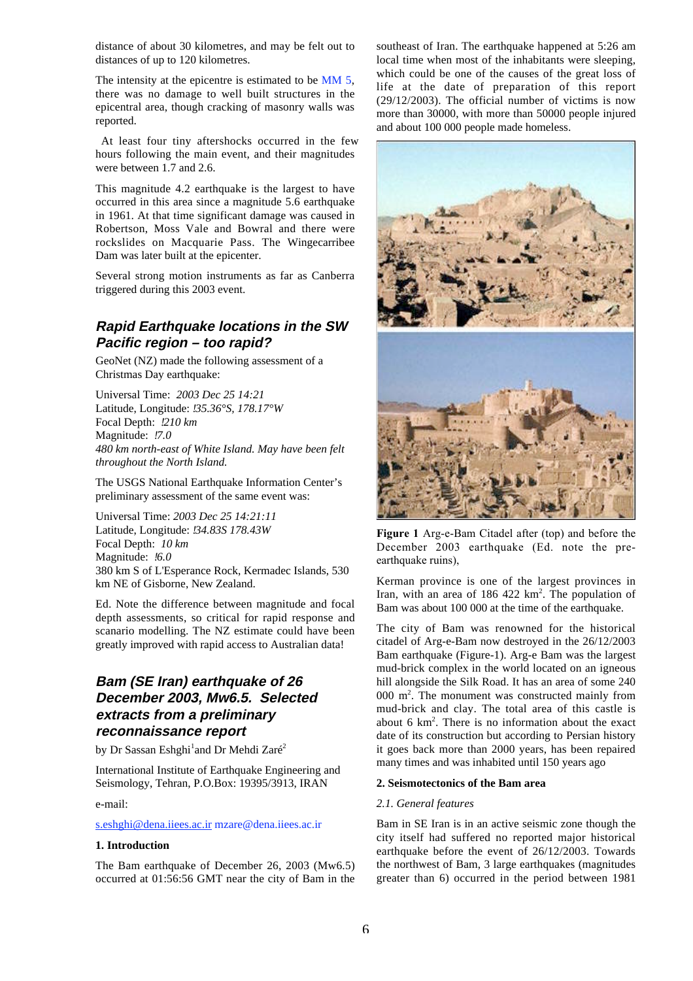distance of about 30 kilometres, and may be felt out to distances of up to 120 kilometres.

The intensity at the epicentre is estimated to be MM 5, there was no damage to well built structures in the epicentral area, though cracking of masonry walls was reported.

At least four tiny aftershocks occurred in the few hours following the main event, and their magnitudes were between 1.7 and 2.6.

This magnitude 4.2 earthquake is the largest to have occurred in this area since a magnitude 5.6 earthquake in 1961. At that time significant damage was caused in Robertson, Moss Vale and Bowral and there were rockslides on Macquarie Pass. The Wingecarribee Dam was later built at the epicenter.

Several strong motion instruments as far as Canberra triggered during this 2003 event.

# **Rapid Earthquake locations in the SW Pacific region – too rapid?**

GeoNet (NZ) made the following assessment of a Christmas Day earthquake:

Universal Time:*2003 Dec 25 14:21* Latitude, Longitude:  *35.36°S, 178.17°W* Focal Depth:  *210 km* Magnitude:  *7.0 480 km north-east of White Island. May have been felt throughout the North Island.*

The USGS National Earthquake Information Center's preliminary assessment of the same event was:

Universal Time: *2003 Dec 25 14:21:11* Latitude, Longitude:  *34.83S 178.43W* Focal Depth: *10 km* Magnitude:  *6.0* 380 km S of L'Esperance Rock, Kermadec Islands, 530 km NE of Gisborne, New Zealand.

Ed. Note the difference between magnitude and focal depth assessments, so critical for rapid response and scanario modelling. The NZ estimate could have been greatly improved with rapid access to Australian data!

# **Bam (SE Iran) earthquake of 26 December 2003, Mw6.5. Selected extracts from a preliminary reconnaissance report**

by Dr Sassan Eshghi<sup>1</sup>and Dr Mehdi Zaré<sup>2</sup>

International Institute of Earthquake Engineering and Seismology, Tehran, P.O.Box: 19395/3913, IRAN

e-mail:

#### s.eshghi@dena.iiees.ac.ir mzare@dena.iiees.ac.ir

## **1. Introduction**

The Bam earthquake of December 26, 2003 (Mw6.5) occurred at 01:56:56 GMT near the city of Bam in the southeast of Iran. The earthquake happened at 5:26 am local time when most of the inhabitants were sleeping, which could be one of the causes of the great loss of life at the date of preparation of this report (29/12/2003). The official number of victims is now more than 30000, with more than 50000 people injured and about 100 000 people made homeless.

![](_page_5_Picture_19.jpeg)

**Figure 1** Arg-e-Bam Citadel after (top) and before the December 2003 earthquake (Ed. note the preearthquake ruins),

Kerman province is one of the largest provinces in Iran, with an area of  $186, 422 \text{ km}^2$ . The population of Bam was about 100 000 at the time of the earthquake.

The city of Bam was renowned for the historical citadel of Arg-e-Bam now destroyed in the 26/12/2003 Bam earthquake (Figure-1). Arg-e Bam was the largest mud-brick complex in the world located on an igneous hill alongside the Silk Road. It has an area of some 240 000  $m^2$ . The monument was constructed mainly from mud-brick and clay. The total area of this castle is about  $6 \text{ km}^2$ . There is no information about the exact date of its construction but according to Persian history it goes back more than 2000 years, has been repaired many times and was inhabited until 150 years ago

## **2. Seismotectonics of the Bam area**

## *2.1. General features*

Bam in SE Iran is in an active seismic zone though the city itself had suffered no reported major historical earthquake before the event of 26/12/2003. Towards the northwest of Bam, 3 large earthquakes (magnitudes greater than 6) occurred in the period between 1981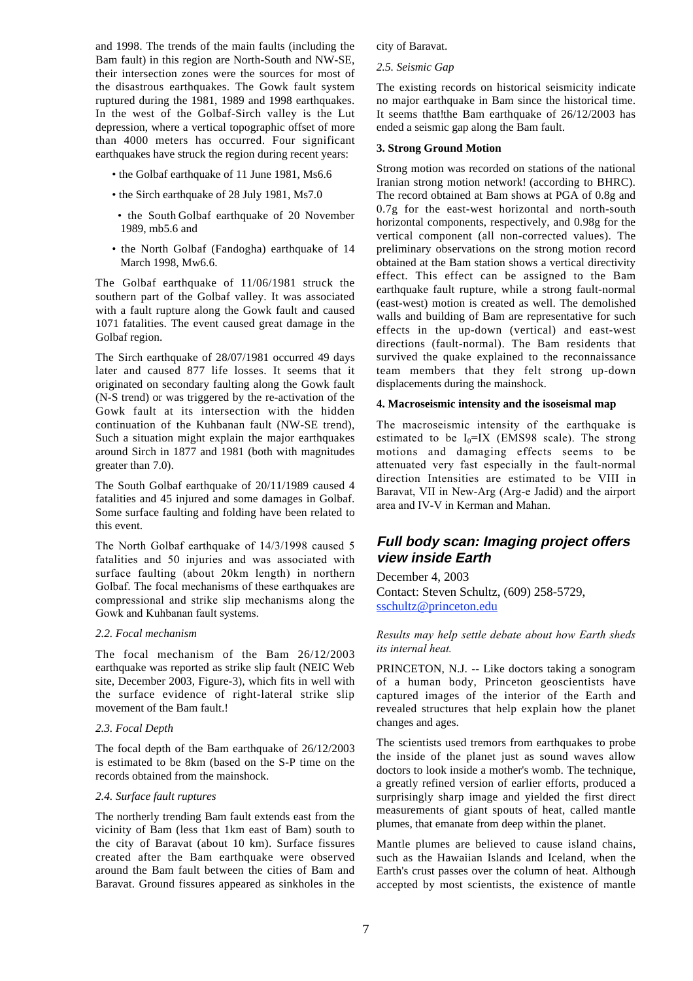and 1998. The trends of the main faults (including the Bam fault) in this region are North-South and NW-SE, their intersection zones were the sources for most of the disastrous earthquakes. The Gowk fault system ruptured during the 1981, 1989 and 1998 earthquakes. In the west of the Golbaf-Sirch valley is the Lut depression, where a vertical topographic offset of more than 4000 meters has occurred. Four significant earthquakes have struck the region during recent years:

- the Golbaf earthquake of 11 June 1981, Ms6.6
- the Sirch earthquake of 28 July 1981, Ms7.0
- the South Golbaf earthquake of 20 November 1989, mb5.6 and
- the North Golbaf (Fandogha) earthquake of 14 March 1998, Mw6.6.

The Golbaf earthquake of 11/06/1981 struck the southern part of the Golbaf valley. It was associated with a fault rupture along the Gowk fault and caused 1071 fatalities. The event caused great damage in the Golbaf region.

The Sirch earthquake of 28/07/1981 occurred 49 days later and caused 877 life losses. It seems that it originated on secondary faulting along the Gowk fault (N-S trend) or was triggered by the re-activation of the Gowk fault at its intersection with the hidden continuation of the Kuhbanan fault (NW-SE trend), Such a situation might explain the major earthquakes around Sirch in 1877 and 1981 (both with magnitudes greater than 7.0).

The South Golbaf earthquake of 20/11/1989 caused 4 fatalities and 45 injured and some damages in Golbaf. Some surface faulting and folding have been related to this event.

The North Golbaf earthquake of 14/3/1998 caused 5 fatalities and 50 injuries and was associated with surface faulting (about 20km length) in northern Golbaf. The focal mechanisms of these earthquakes are compressional and strike slip mechanisms along the Gowk and Kuhbanan fault systems.

#### *2.2. Focal mechanism*

The focal mechanism of the Bam 26/12/2003 earthquake was reported as strike slip fault (NEIC Web site, December 2003, Figure-3), which fits in well with the surface evidence of right-lateral strike slip movement of the Bam fault.

#### *2.3. Focal Depth*

The focal depth of the Bam earthquake of  $26/12/2003$ is estimated to be 8km (based on the S-P time on the records obtained from the mainshock.

#### *2.4. Surface fault ruptures*

The northerly trending Bam fault extends east from the vicinity of Bam (less that 1km east of Bam) south to the city of Baravat (about 10 km). Surface fissures created after the Bam earthquake were observed around the Bam fault between the cities of Bam and Baravat. Ground fissures appeared as sinkholes in the city of Baravat.

## *2.5. Seismic Gap*

The existing records on historical seismicity indicate no major earthquake in Bam since the historical time. It seems that the Bam earthquake of  $26/12/2003$  has ended a seismic gap along the Bam fault.

## **3. Strong Ground Motion**

Strong motion was recorded on stations of the national Iranian strong motion network! (according to BHRC). The record obtained at Bam shows at PGA of 0.8g and 0.7g for the east-west horizontal and north-south horizontal components, respectively, and 0.98g for the vertical component (all non-corrected values). The preliminary observations on the strong motion record obtained at the Bam station shows a vertical directivity effect. This effect can be assigned to the Bam earthquake fault rupture, while a strong fault-normal (east-west) motion is created as well. The demolished walls and building of Bam are representative for such effects in the up-down (vertical) and east-west directions (fault-normal). The Bam residents that survived the quake explained to the reconnaissance team members that they felt strong up-down displacements during the mainshock.

#### **4. Macroseismic intensity and the isoseismal map**

The macroseismic intensity of the earthquake is estimated to be  $I_0=IX$  (EMS98 scale). The strong motions and damaging effects seems to be attenuated very fast especially in the fault-normal direction Intensities are estimated to be VIII in Baravat, VII in New-Arg (Arg-e Jadid) and the airport area and IV-V in Kerman and Mahan.

# **Full body scan: Imaging project offers view inside Earth**

December 4, 2003 Contact: Steven Schultz, (609) 258-5729, sschultz@princeton.edu

#### *Results may help settle debate about how Earth sheds its internal heat.*

PRINCETON, N.J. -- Like doctors taking a sonogram of a human body, Princeton geoscientists have captured images of the interior of the Earth and revealed structures that help explain how the planet changes and ages.

The scientists used tremors from earthquakes to probe the inside of the planet just as sound waves allow doctors to look inside a mother's womb. The technique, a greatly refined version of earlier efforts, produced a surprisingly sharp image and yielded the first direct measurements of giant spouts of heat, called mantle plumes, that emanate from deep within the planet.

Mantle plumes are believed to cause island chains, such as the Hawaiian Islands and Iceland, when the Earth's crust passes over the column of heat. Although accepted by most scientists, the existence of mantle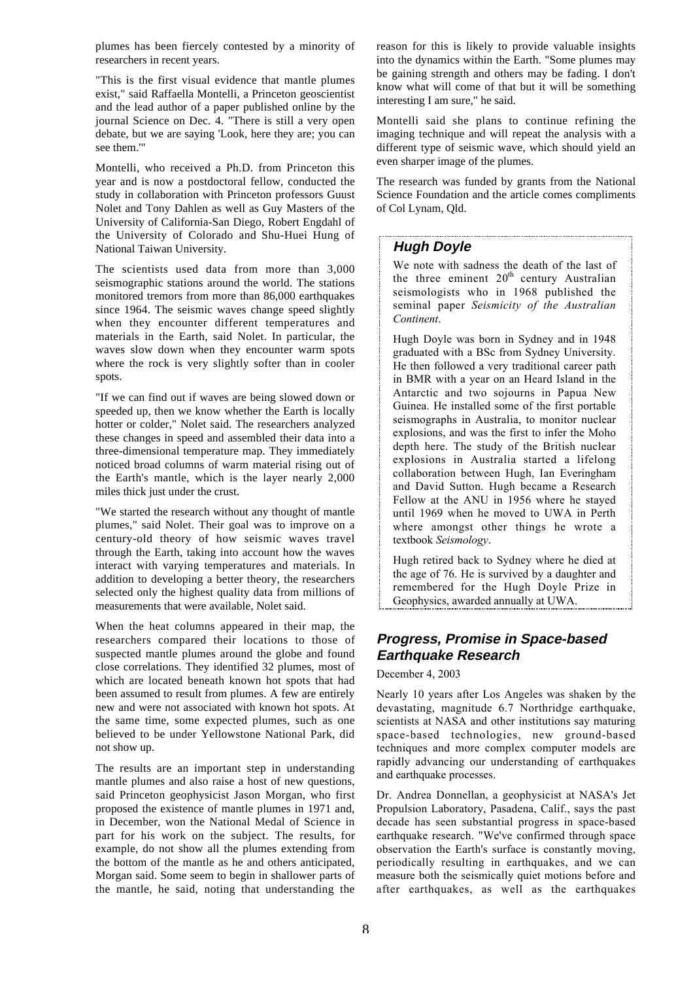plumes has been fiercely contested by a minority of researchers in recent years.

"This is the first visual evidence that mantle plumes exist," said Raffaella Montelli, a Princeton geoscientist and the lead author of a paper published online by the journal Science on Dec. 4. "There is still a very open debate, but we are saying 'Look, here they are; you can see them.'"

Montelli, who received a Ph.D. from Princeton this year and is now a postdoctoral fellow, conducted the study in collaboration with Princeton professors Guust Nolet and Tony Dahlen as well as Guy Masters of the University of California-San Diego, Robert Engdahl of the University of Colorado and Shu-Huei Hung of National Taiwan University.

The scientists used data from more than 3,000 seismographic stations around the world. The stations monitored tremors from more than 86,000 earthquakes since 1964. The seismic waves change speed slightly when they encounter different temperatures and materials in the Earth, said Nolet. In particular, the waves slow down when they encounter warm spots where the rock is very slightly softer than in cooler spots.

"If we can find out if waves are being slowed down or speeded up, then we know whether the Earth is locally hotter or colder," Nolet said. The researchers analyzed these changes in speed and assembled their data into a three-dimensional temperature map. They immediately noticed broad columns of warm material rising out of the Earth's mantle, which is the layer nearly 2,000 miles thick just under the crust.

"We started the research without any thought of mantle plumes," said Nolet. Their goal was to improve on a century-old theory of how seismic waves travel through the Earth, taking into account how the waves interact with varying temperatures and materials. In addition to developing a better theory, the researchers selected only the highest quality data from millions of measurements that were available, Nolet said.

When the heat columns appeared in their map, the researchers compared their locations to those of suspected mantle plumes around the globe and found close correlations. They identified 32 plumes, most of which are located beneath known hot spots that had been assumed to result from plumes. A few are entirely new and were not associated with known hot spots. At the same time, some expected plumes, such as one believed to be under Yellowstone National Park, did not show up.

The results are an important step in understanding mantle plumes and also raise a host of new questions, said Princeton geophysicist Jason Morgan, who first proposed the existence of mantle plumes in 1971 and, in December, won the National Medal of Science in part for his work on the subject. The results, for example, do not show all the plumes extending from the bottom of the mantle as he and others anticipated, Morgan said. Some seem to begin in shallower parts of the mantle, he said, noting that understanding the

reason for this is likely to provide valuable insights into the dynamics within the Earth. "Some plumes may be gaining strength and others may be fading. I don't know what will come of that but it will be something interesting I am sure," he said.

Montelli said she plans to continue refining the imaging technique and will repeat the analysis with a different type of seismic wave, which should yield an even sharper image of the plumes.

The research was funded by grants from the National Science Foundation and the article comes compliments of Col Lynam, Qld.

## **Hugh Doyle**

We note with sadness the death of the last of the three eminent  $20<sup>th</sup>$  century Australian seismologists who in 1968 published the seminal paper *Seismicity of the Australian Continent*.

Hugh Doyle was born in Sydney and in 1948 graduated with a BSc from Sydney University. He then followed a very traditional career path in BMR with a year on an Heard Island in the Antarctic and two sojourns in Papua New Guinea. He installed some of the first portable seismographs in Australia, to monitor nuclear explosions, and was the first to infer the Moho depth here. The study of the British nuclear explosions in Australia started a lifelong collaboration between Hugh, Ian Everingham and David Sutton. Hugh became a Research Fellow at the ANU in 1956 where he stayed until 1969 when he moved to UWA in Perth where amongst other things he wrote a textbook *Seismology*.

Hugh retired back to Sydney where he died at the age of 76. He is survived by a daughter and remembered for the Hugh Doyle Prize in Geophysics, awarded annually at UWA.

# **Progress, Promise in Space-based Earthquake Research**

## December 4, 2003

Nearly 10 years after Los Angeles was shaken by the devastating, magnitude 6.7 Northridge earthquake, scientists at NASA and other institutions say maturing space-based technologies, new ground-based techniques and more complex computer models are rapidly advancing our understanding of earthquakes and earthquake processes.

Dr. Andrea Donnellan, a geophysicist at NASA's Jet Propulsion Laboratory, Pasadena, Calif., says the past decade has seen substantial progress in space-based earthquake research. "We've confirmed through space observation the Earth's surface is constantly moving, periodically resulting in earthquakes, and we can measure both the seismically quiet motions before and after earthquakes, as well as the earthquakes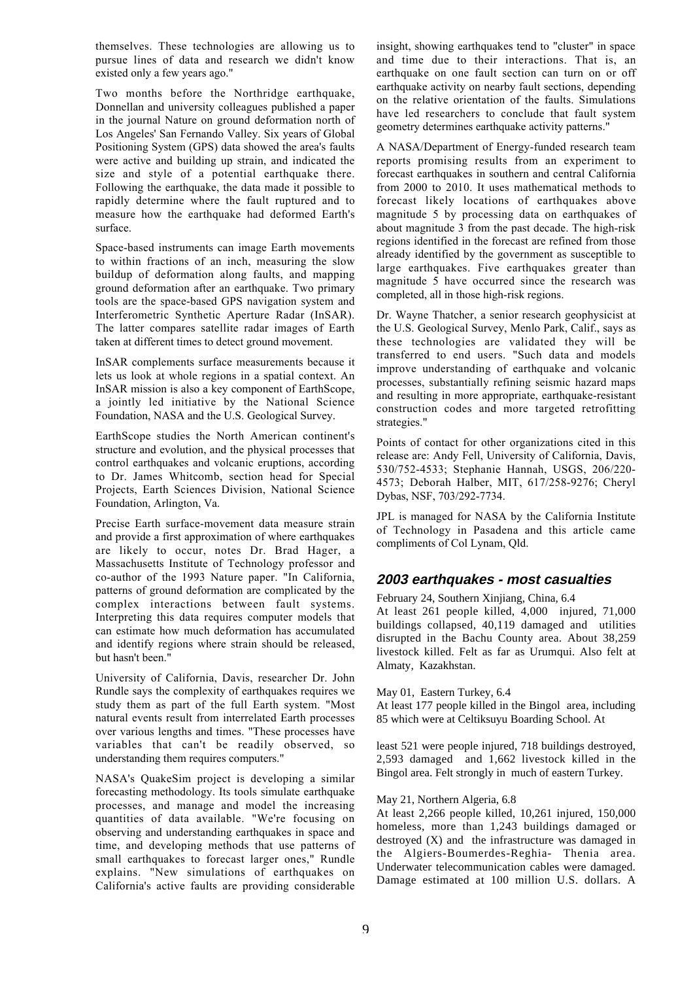themselves. These technologies are allowing us to pursue lines of data and research we didn't know existed only a few years ago."

Two months before the Northridge earthquake, Donnellan and university colleagues published a paper in the journal Nature on ground deformation north of Los Angeles' San Fernando Valley. Six years of Global Positioning System (GPS) data showed the area's faults were active and building up strain, and indicated the size and style of a potential earthquake there. Following the earthquake, the data made it possible to rapidly determine where the fault ruptured and to measure how the earthquake had deformed Earth's surface.

Space-based instruments can image Earth movements to within fractions of an inch, measuring the slow buildup of deformation along faults, and mapping ground deformation after an earthquake. Two primary tools are the space-based GPS navigation system and Interferometric Synthetic Aperture Radar (InSAR). The latter compares satellite radar images of Earth taken at different times to detect ground movement.

InSAR complements surface measurements because it lets us look at whole regions in a spatial context. An InSAR mission is also a key component of EarthScope, a jointly led initiative by the National Science Foundation, NASA and the U.S. Geological Survey.

EarthScope studies the North American continent's structure and evolution, and the physical processes that control earthquakes and volcanic eruptions, according to Dr. James Whitcomb, section head for Special Projects, Earth Sciences Division, National Science Foundation, Arlington, Va.

Precise Earth surface-movement data measure strain and provide a first approximation of where earthquakes are likely to occur, notes Dr. Brad Hager, a Massachusetts Institute of Technology professor and co-author of the 1993 Nature paper. "In California, patterns of ground deformation are complicated by the complex interactions between fault systems. Interpreting this data requires computer models that can estimate how much deformation has accumulated and identify regions where strain should be released, but hasn't been."

University of California, Davis, researcher Dr. John Rundle says the complexity of earthquakes requires we study them as part of the full Earth system. "Most natural events result from interrelated Earth processes over various lengths and times. "These processes have variables that can't be readily observed, so understanding them requires computers."

NASA's QuakeSim project is developing a similar forecasting methodology. Its tools simulate earthquake processes, and manage and model the increasing quantities of data available. "We're focusing on observing and understanding earthquakes in space and time, and developing methods that use patterns of small earthquakes to forecast larger ones," Rundle explains. "New simulations of earthquakes on California's active faults are providing considerable

insight, showing earthquakes tend to "cluster" in space and time due to their interactions. That is, an earthquake on one fault section can turn on or off earthquake activity on nearby fault sections, depending on the relative orientation of the faults. Simulations have led researchers to conclude that fault system geometry determines earthquake activity patterns."

A NASA/Department of Energy-funded research team reports promising results from an experiment to forecast earthquakes in southern and central California from 2000 to 2010. It uses mathematical methods to forecast likely locations of earthquakes above magnitude 5 by processing data on earthquakes of about magnitude 3 from the past decade. The high-risk regions identified in the forecast are refined from those already identified by the government as susceptible to large earthquakes. Five earthquakes greater than magnitude 5 have occurred since the research was completed, all in those high-risk regions.

Dr. Wayne Thatcher, a senior research geophysicist at the U.S. Geological Survey, Menlo Park, Calif., says as these technologies are validated they will be transferred to end users. "Such data and models improve understanding of earthquake and volcanic processes, substantially refining seismic hazard maps and resulting in more appropriate, earthquake-resistant construction codes and more targeted retrofitting strategies."

Points of contact for other organizations cited in this release are: Andy Fell, University of California, Davis, 530/752-4533; Stephanie Hannah, USGS, 206/220- 4573; Deborah Halber, MIT, 617/258-9276; Cheryl Dybas, NSF, 703/292-7734.

JPL is managed for NASA by the California Institute of Technology in Pasadena and this article came compliments of Col Lynam, Qld.

# **2003 earthquakes - most casualties**

February 24, Southern Xinjiang, China, 6.4

At least 261 people killed, 4,000 injured, 71,000 buildings collapsed, 40,119 damaged and utilities disrupted in the Bachu County area. About 38,259 livestock killed. Felt as far as Urumqui. Also felt at Almaty, Kazakhstan.

## May 01, Eastern Turkey, 6.4

At least 177 people killed in the Bingol area, including 85 which were at Celtiksuyu Boarding School. At

least 521 were people injured, 718 buildings destroyed, 2,593 damaged and 1,662 livestock killed in the Bingol area. Felt strongly in much of eastern Turkey.

## May 21, Northern Algeria, 6.8

At least 2,266 people killed, 10,261 injured, 150,000 homeless, more than 1,243 buildings damaged or destroyed (X) and the infrastructure was damaged in the Algiers-Boumerdes-Reghia- Thenia area. Underwater telecommunication cables were damaged. Damage estimated at 100 million U.S. dollars. A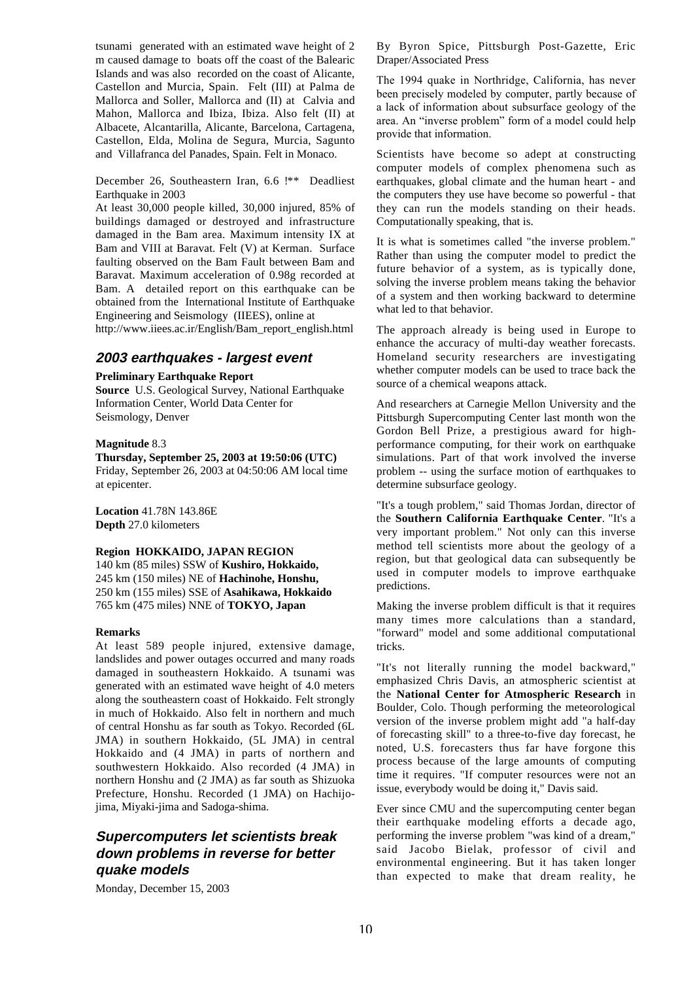tsunami generated with an estimated wave height of 2 m caused damage to boats off the coast of the Balearic Islands and was also recorded on the coast of Alicante, Castellon and Murcia, Spain. Felt (III) at Palma de Mallorca and Soller, Mallorca and (II) at Calvia and Mahon, Mallorca and Ibiza, Ibiza. Also felt (II) at Albacete, Alcantarilla, Alicante, Barcelona, Cartagena, Castellon, Elda, Molina de Segura, Murcia, Sagunto and Villafranca del Panades, Spain. Felt in Monaco.

December 26, Southeastern Iran, 6.6 **!\*\*** Deadliest Earthquake in 2003

At least 30,000 people killed, 30,000 injured, 85% of buildings damaged or destroyed and infrastructure damaged in the Bam area. Maximum intensity IX at Bam and VIII at Baravat. Felt (V) at Kerman. Surface faulting observed on the Bam Fault between Bam and Baravat. Maximum acceleration of 0.98g recorded at Bam. A detailed report on this earthquake can be obtained from the International Institute of Earthquake Engineering and Seismology (IIEES), online at http://www.iiees.ac.ir/English/Bam\_report\_english.html

# **2003 earthquakes - largest event**

#### **Preliminary Earthquake Report**

**Source** U.S. Geological Survey, National Earthquake Information Center, World Data Center for Seismology, Denver

## **Magnitude** 8.3

**Thursday, September 25, 2003 at 19:50:06 (UTC)** Friday, September 26, 2003 at 04:50:06 AM local time at epicenter.

**Location** 41.78N 143.86E **Depth** 27.0 kilometers

## **Region HOKKAIDO, JAPAN REGION**

140 km (85 miles) SSW of **Kushiro, Hokkaido,** 245 km (150 miles) NE of **Hachinohe, Honshu,** 250 km (155 miles) SSE of **Asahikawa, Hokkaido** 765 km (475 miles) NNE of **TOKYO, Japan**

## **Remarks**

At least 589 people injured, extensive damage, landslides and power outages occurred and many roads damaged in southeastern Hokkaido. A tsunami was generated with an estimated wave height of 4.0 meters along the southeastern coast of Hokkaido. Felt strongly in much of Hokkaido. Also felt in northern and much of central Honshu as far south as Tokyo. Recorded (6L JMA) in southern Hokkaido, (5L JMA) in central Hokkaido and (4 JMA) in parts of northern and southwestern Hokkaido. Also recorded (4 JMA) in northern Honshu and (2 JMA) as far south as Shizuoka Prefecture, Honshu. Recorded (1 JMA) on Hachijojima, Miyaki-jima and Sadoga-shima.

# **Supercomputers let scientists break down problems in reverse for better quake models**

Monday, December 15, 2003

By Byron Spice, Pittsburgh Post-Gazette, Eric Draper/Associated Press

The 1994 quake in Northridge, California, has never been precisely modeled by computer, partly because of a lack of information about subsurface geology of the area. An "inverse problem" form of a model could help provide that information.

Scientists have become so adept at constructing computer models of complex phenomena such as earthquakes, global climate and the human heart - and the computers they use have become so powerful - that they can run the models standing on their heads. Computationally speaking, that is.

It is what is sometimes called "the inverse problem." Rather than using the computer model to predict the future behavior of a system, as is typically done, solving the inverse problem means taking the behavior of a system and then working backward to determine what led to that behavior.

The approach already is being used in Europe to enhance the accuracy of multi-day weather forecasts. Homeland security researchers are investigating whether computer models can be used to trace back the source of a chemical weapons attack.

And researchers at Carnegie Mellon University and the Pittsburgh Supercomputing Center last month won the Gordon Bell Prize, a prestigious award for highperformance computing, for their work on earthquake simulations. Part of that work involved the inverse problem -- using the surface motion of earthquakes to determine subsurface geology.

"It's a tough problem," said Thomas Jordan, director of the **Southern California Earthquake Center**. "It's a very important problem." Not only can this inverse method tell scientists more about the geology of a region, but that geological data can subsequently be used in computer models to improve earthquake predictions.

Making the inverse problem difficult is that it requires many times more calculations than a standard, "forward" model and some additional computational tricks.

"It's not literally running the model backward," emphasized Chris Davis, an atmospheric scientist at the **National Center for Atmospheric Research** in Boulder, Colo. Though performing the meteorological version of the inverse problem might add "a half-day of forecasting skill" to a three-to-five day forecast, he noted, U.S. forecasters thus far have forgone this process because of the large amounts of computing time it requires. "If computer resources were not an issue, everybody would be doing it," Davis said.

Ever since CMU and the supercomputing center began their earthquake modeling efforts a decade ago, performing the inverse problem "was kind of a dream," said Jacobo Bielak, professor of civil and environmental engineering. But it has taken longer than expected to make that dream reality, he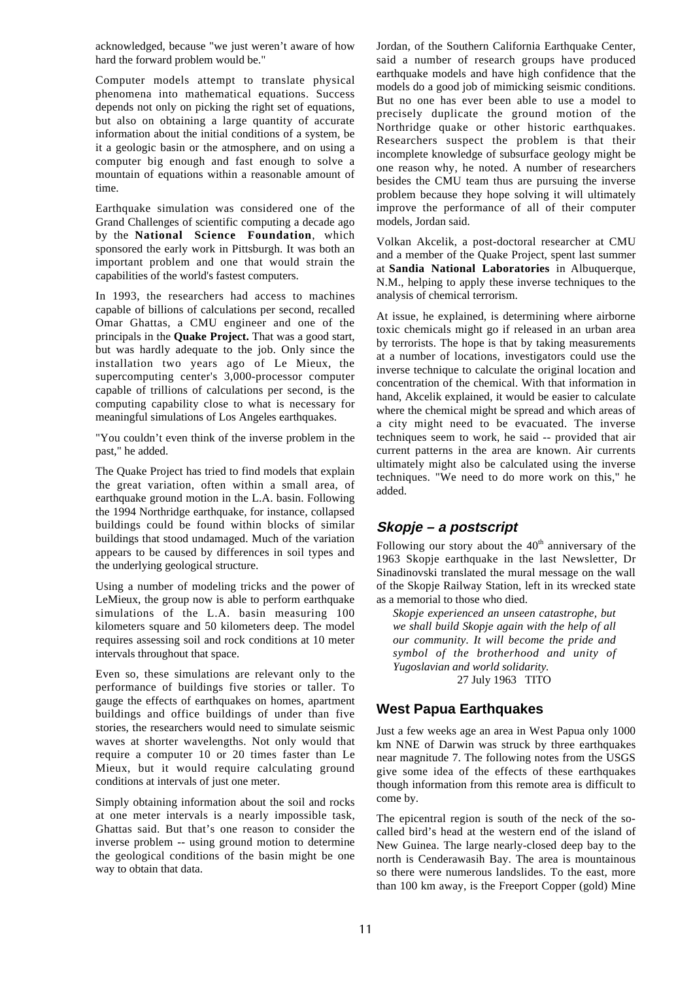acknowledged, because "we just weren't aware of how hard the forward problem would be."

Computer models attempt to translate physical phenomena into mathematical equations. Success depends not only on picking the right set of equations, but also on obtaining a large quantity of accurate information about the initial conditions of a system, be it a geologic basin or the atmosphere, and on using a computer big enough and fast enough to solve a mountain of equations within a reasonable amount of time.

Earthquake simulation was considered one of the Grand Challenges of scientific computing a decade ago by the **National Science Foundation**, which sponsored the early work in Pittsburgh. It was both an important problem and one that would strain the capabilities of the world's fastest computers.

In 1993, the researchers had access to machines capable of billions of calculations per second, recalled Omar Ghattas, a CMU engineer and one of the principals in the **Quake Project.** That was a good start, but was hardly adequate to the job. Only since the installation two years ago of Le Mieux, the supercomputing center's 3,000-processor computer capable of trillions of calculations per second, is the computing capability close to what is necessary for meaningful simulations of Los Angeles earthquakes.

"You couldn't even think of the inverse problem in the past," he added.

The Quake Project has tried to find models that explain the great variation, often within a small area, of earthquake ground motion in the L.A. basin. Following the 1994 Northridge earthquake, for instance, collapsed buildings could be found within blocks of similar buildings that stood undamaged. Much of the variation appears to be caused by differences in soil types and the underlying geological structure.

Using a number of modeling tricks and the power of LeMieux, the group now is able to perform earthquake simulations of the L.A. basin measuring 100 kilometers square and 50 kilometers deep. The model requires assessing soil and rock conditions at 10 meter intervals throughout that space.

Even so, these simulations are relevant only to the performance of buildings five stories or taller. To gauge the effects of earthquakes on homes, apartment buildings and office buildings of under than five stories, the researchers would need to simulate seismic waves at shorter wavelengths. Not only would that require a computer 10 or 20 times faster than Le Mieux, but it would require calculating ground conditions at intervals of just one meter.

Simply obtaining information about the soil and rocks at one meter intervals is a nearly impossible task, Ghattas said. But that's one reason to consider the inverse problem -- using ground motion to determine the geological conditions of the basin might be one way to obtain that data.

Jordan, of the Southern California Earthquake Center, said a number of research groups have produced earthquake models and have high confidence that the models do a good job of mimicking seismic conditions. But no one has ever been able to use a model to precisely duplicate the ground motion of the Northridge quake or other historic earthquakes. Researchers suspect the problem is that their incomplete knowledge of subsurface geology might be one reason why, he noted. A number of researchers besides the CMU team thus are pursuing the inverse problem because they hope solving it will ultimately improve the performance of all of their computer models, Jordan said.

Volkan Akcelik, a post-doctoral researcher at CMU and a member of the Quake Project, spent last summer at **Sandia National Laboratories** in Albuquerque, N.M., helping to apply these inverse techniques to the analysis of chemical terrorism.

At issue, he explained, is determining where airborne toxic chemicals might go if released in an urban area by terrorists. The hope is that by taking measurements at a number of locations, investigators could use the inverse technique to calculate the original location and concentration of the chemical. With that information in hand, Akcelik explained, it would be easier to calculate where the chemical might be spread and which areas of a city might need to be evacuated. The inverse techniques seem to work, he said -- provided that air current patterns in the area are known. Air currents ultimately might also be calculated using the inverse techniques. "We need to do more work on this," he added.

# **Skopje – a postscript**

Following our story about the  $40<sup>th</sup>$  anniversary of the 1963 Skopje earthquake in the last Newsletter, Dr Sinadinovski translated the mural message on the wall of the Skopje Railway Station, left in its wrecked state as a memorial to those who died.

*Skopje experienced an unseen catastrophe, but we shall build Skopje again with the help of all our community. It will become the pride and symbol of the brotherhood and unity of Yugoslavian and world solidarity.* 27 July 1963 TITO

# **West Papua Earthquakes**

Just a few weeks age an area in West Papua only 1000 km NNE of Darwin was struck by three earthquakes near magnitude 7. The following notes from the USGS give some idea of the effects of these earthquakes though information from this remote area is difficult to come by.

The epicentral region is south of the neck of the socalled bird's head at the western end of the island of New Guinea. The large nearly-closed deep bay to the north is Cenderawasih Bay. The area is mountainous so there were numerous landslides. To the east, more than 100 km away, is the Freeport Copper (gold) Mine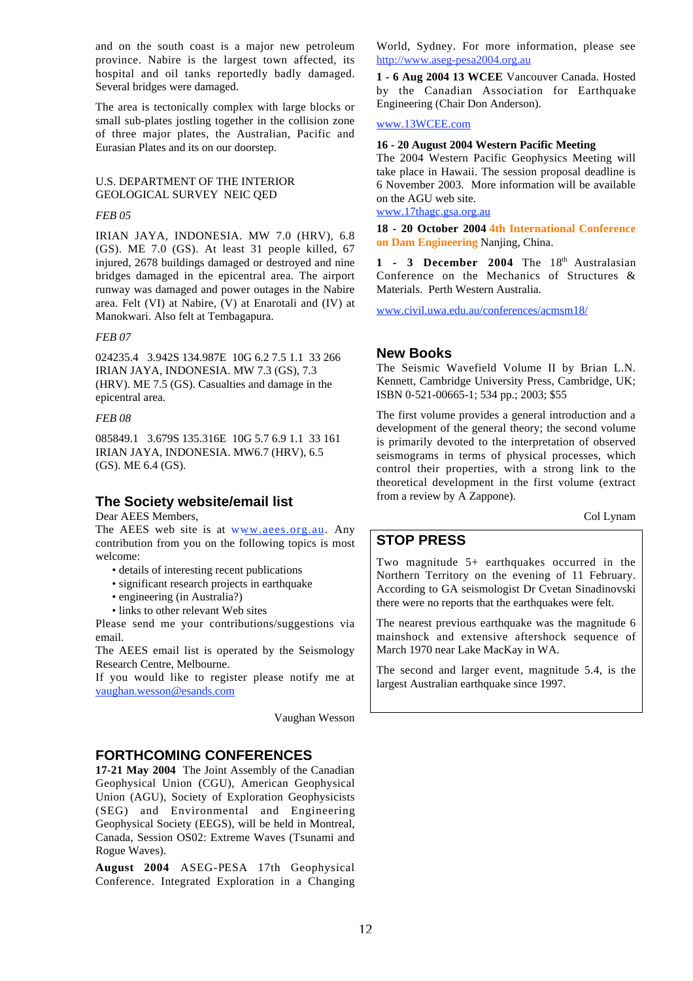and on the south coast is a major new petroleum province. Nabire is the largest town affected, its hospital and oil tanks reportedly badly damaged. Several bridges were damaged.

The area is tectonically complex with large blocks or small sub-plates jostling together in the collision zone of three major plates, the Australian, Pacific and Eurasian Plates and its on our doorstep.

## U.S. DEPARTMENT OF THE INTERIOR GEOLOGICAL SURVEY NEIC QED

#### *FEB 05*

IRIAN JAYA, INDONESIA. MW 7.0 (HRV), 6.8 (GS). ME 7.0 (GS). At least 31 people killed, 67 injured, 2678 buildings damaged or destroyed and nine bridges damaged in the epicentral area. The airport runway was damaged and power outages in the Nabire area. Felt (VI) at Nabire, (V) at Enarotali and (IV) at Manokwari. Also felt at Tembagapura.

## *FEB 07*

024235.4 3.942S 134.987E 10G 6.2 7.5 1.1 33 266 IRIAN JAYA, INDONESIA. MW 7.3 (GS), 7.3 (HRV). ME 7.5 (GS). Casualties and damage in the epicentral area.

#### *FEB 08*

085849.1 3.679S 135.316E 10G 5.7 6.9 1.1 33 161 IRIAN JAYA, INDONESIA. MW6.7 (HRV), 6.5 (GS). ME 6.4 (GS).

## **The Society website/email list**

Dear AEES Members,

The AEES web site is at www.aees.org.au. Any contribution from you on the following topics is most welcome:

- details of interesting recent publications
- significant research projects in earthquake
- engineering (in Australia?)
- links to other relevant Web sites

Please send me your contributions/suggestions via email.

The AEES email list is operated by the Seismology Research Centre, Melbourne.

If you would like to register please notify me at vaughan.wesson@esands.com

Vaughan Wesson

## **FORTHCOMING CONFERENCES**

**17-21 May 2004** The Joint Assembly of the Canadian Geophysical Union (CGU), American Geophysical Union (AGU), Society of Exploration Geophysicists (SEG) and Environmental and Engineering Geophysical Society (EEGS), will be held in Montreal, Canada, Session OS02: Extreme Waves (Tsunami and Rogue Waves).

**August 2004** ASEG-PESA 17th Geophysical Conference. Integrated Exploration in a Changing World, Sydney. For more information, please see http://www.aseg-pesa2004.org.au

**1 - 6 Aug 2004 13 WCEE** Vancouver Canada. Hosted by the Canadian Association for Earthquake Engineering (Chair Don Anderson).

### www.13WCEE.com

## **16 - 20 August 2004 Western Pacific Meeting**

The 2004 Western Pacific Geophysics Meeting will take place in Hawaii. The session proposal deadline is 6 November 2003. More information will be available on the AGU web site.

www.17thagc.gsa.org.au

**18 - 20 October 2004 4th International Conference on Dam Engineering** Nanjing, China.

1 - 3 December 2004 The 18<sup>th</sup> Australasian Conference on the Mechanics of Structures & Materials.Perth Western Australia.

www.civil.uwa.edu.au/conferences/acmsm18/

## **New Books**

The Seismic Wavefield Volume II by Brian L.N. Kennett, Cambridge University Press, Cambridge, UK; ISBN 0-521-00665-1; 534 pp.; 2003; \$55

The first volume provides a general introduction and a development of the general theory; the second volume is primarily devoted to the interpretation of observed seismograms in terms of physical processes, which control their properties, with a strong link to the theoretical development in the first volume (extract from a review by A Zappone).

Col Lynam

# **STOP PRESS**

Two magnitude 5+ earthquakes occurred in the Northern Territory on the evening of 11 February. According to GA seismologist Dr Cvetan Sinadinovski there were no reports that the earthquakes were felt.

The nearest previous earthquake was the magnitude 6 mainshock and extensive aftershock sequence of March 1970 near Lake MacKay in WA.

The second and larger event, magnitude 5.4, is the largest Australian earthquake since 1997.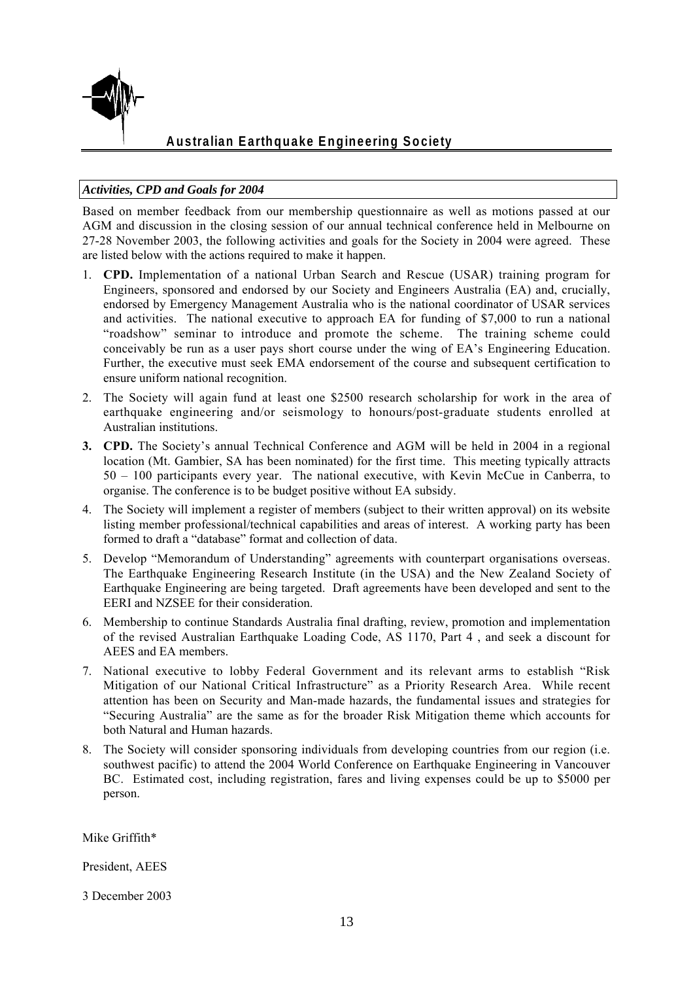![](_page_12_Picture_0.jpeg)

# *Activities, CPD and Goals for 2004*

Based on member feedback from our membership questionnaire as well as motions passed at our AGM and discussion in the closing session of our annual technical conference held in Melbourne on 27-28 November 2003, the following activities and goals for the Society in 2004 were agreed. These are listed below with the actions required to make it happen.

- 1. **CPD.** Implementation of a national Urban Search and Rescue (USAR) training program for Engineers, sponsored and endorsed by our Society and Engineers Australia (EA) and, crucially, endorsed by Emergency Management Australia who is the national coordinator of USAR services and activities. The national executive to approach EA for funding of \$7,000 to run a national "roadshow" seminar to introduce and promote the scheme. The training scheme could conceivably be run as a user pays short course under the wing of EA's Engineering Education. Further, the executive must seek EMA endorsement of the course and subsequent certification to ensure uniform national recognition.
- 2. The Society will again fund at least one \$2500 research scholarship for work in the area of earthquake engineering and/or seismology to honours/post-graduate students enrolled at Australian institutions.
- **3. CPD.** The Society's annual Technical Conference and AGM will be held in 2004 in a regional location (Mt. Gambier, SA has been nominated) for the first time. This meeting typically attracts 50 – 100 participants every year. The national executive, with Kevin McCue in Canberra, to organise. The conference is to be budget positive without EA subsidy.
- 4. The Society will implement a register of members (subject to their written approval) on its website listing member professional/technical capabilities and areas of interest. A working party has been formed to draft a "database" format and collection of data.
- 5. Develop "Memorandum of Understanding" agreements with counterpart organisations overseas. The Earthquake Engineering Research Institute (in the USA) and the New Zealand Society of Earthquake Engineering are being targeted. Draft agreements have been developed and sent to the EERI and NZSEE for their consideration.
- 6. Membership to continue Standards Australia final drafting, review, promotion and implementation of the revised Australian Earthquake Loading Code, AS 1170, Part 4 , and seek a discount for AEES and EA members.
- 7. National executive to lobby Federal Government and its relevant arms to establish "Risk Mitigation of our National Critical Infrastructure" as a Priority Research Area. While recent attention has been on Security and Man-made hazards, the fundamental issues and strategies for "Securing Australia" are the same as for the broader Risk Mitigation theme which accounts for both Natural and Human hazards.
- 8. The Society will consider sponsoring individuals from developing countries from our region (i.e. southwest pacific) to attend the 2004 World Conference on Earthquake Engineering in Vancouver BC. Estimated cost, including registration, fares and living expenses could be up to \$5000 per person.

Mike Griffith\*

President, AEES

3 December 2003